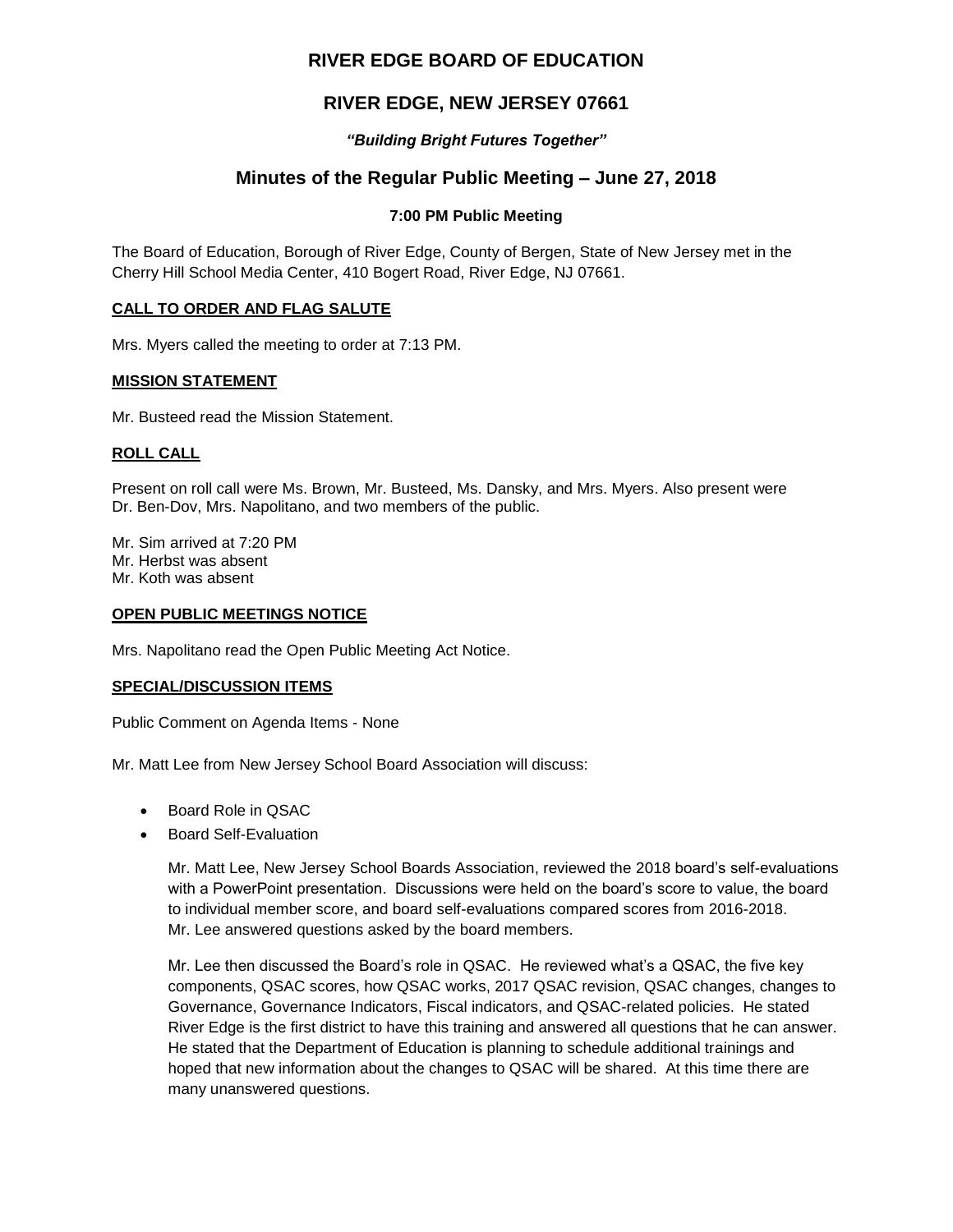# **RIVER EDGE BOARD OF EDUCATION**

# **RIVER EDGE, NEW JERSEY 07661**

### *"Building Bright Futures Together"*

# **Minutes of the Regular Public Meeting – June 27, 2018**

### **7:00 PM Public Meeting**

The Board of Education, Borough of River Edge, County of Bergen, State of New Jersey met in the Cherry Hill School Media Center, 410 Bogert Road, River Edge, NJ 07661.

#### **CALL TO ORDER AND FLAG SALUTE**

Mrs. Myers called the meeting to order at 7:13 PM.

#### **MISSION STATEMENT**

Mr. Busteed read the Mission Statement.

### **ROLL CALL**

Present on roll call were Ms. Brown, Mr. Busteed, Ms. Dansky, and Mrs. Myers. Also present were Dr. Ben-Dov, Mrs. Napolitano, and two members of the public.

Mr. Sim arrived at 7:20 PM Mr. Herbst was absent Mr. Koth was absent

#### **OPEN PUBLIC MEETINGS NOTICE**

Mrs. Napolitano read the Open Public Meeting Act Notice.

#### **SPECIAL/DISCUSSION ITEMS**

Public Comment on Agenda Items - None

Mr. Matt Lee from New Jersey School Board Association will discuss:

- Board Role in QSAC
- Board Self-Evaluation

Mr. Matt Lee, New Jersey School Boards Association, reviewed the 2018 board's self-evaluations with a PowerPoint presentation. Discussions were held on the board's score to value, the board to individual member score, and board self-evaluations compared scores from 2016-2018. Mr. Lee answered questions asked by the board members.

Mr. Lee then discussed the Board's role in QSAC. He reviewed what's a QSAC, the five key components, QSAC scores, how QSAC works, 2017 QSAC revision, QSAC changes, changes to Governance, Governance Indicators, Fiscal indicators, and QSAC-related policies. He stated River Edge is the first district to have this training and answered all questions that he can answer. He stated that the Department of Education is planning to schedule additional trainings and hoped that new information about the changes to QSAC will be shared. At this time there are many unanswered questions.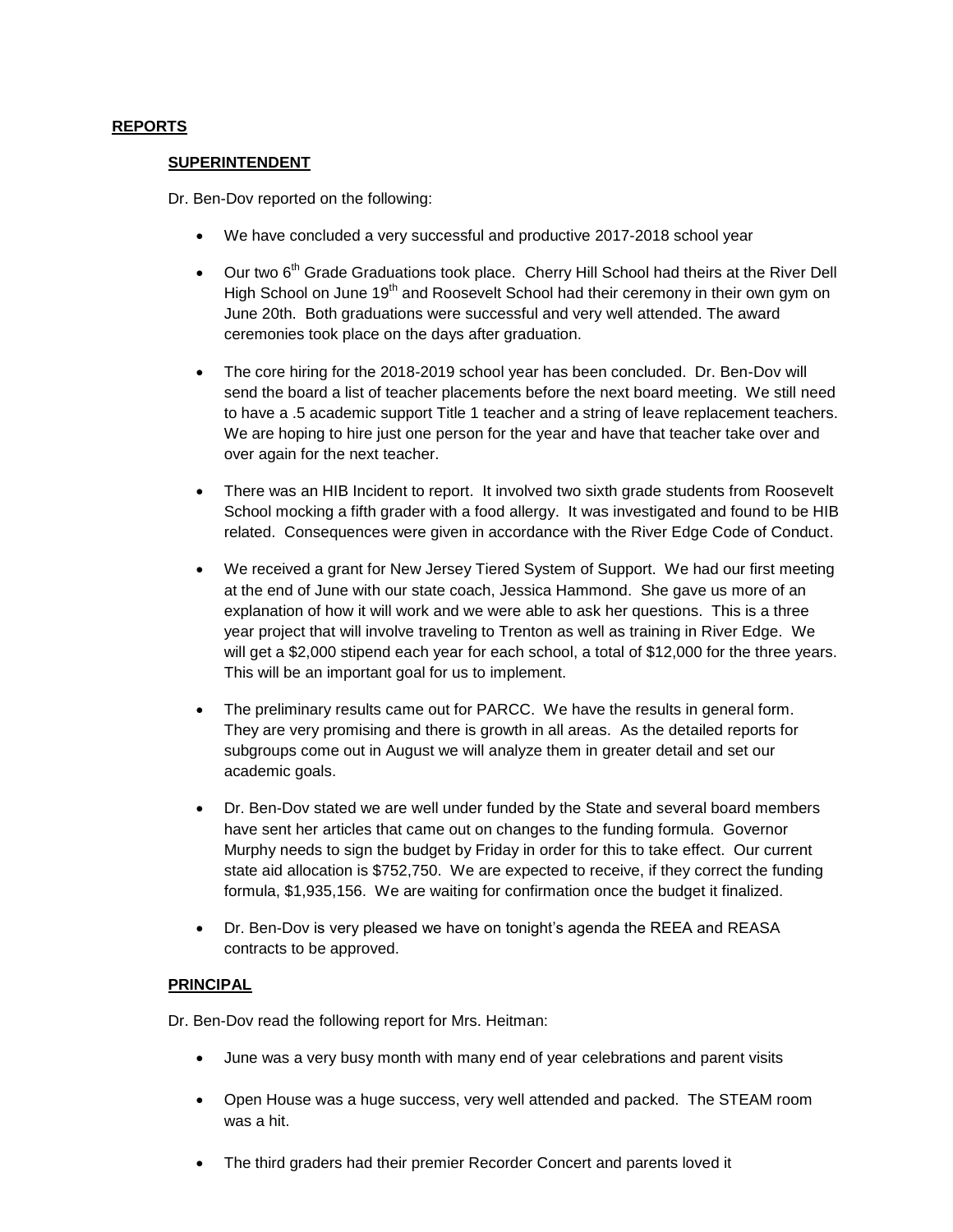#### **REPORTS**

#### **SUPERINTENDENT**

Dr. Ben-Dov reported on the following:

- We have concluded a very successful and productive 2017-2018 school year
- $\bullet$  Our two 6<sup>th</sup> Grade Graduations took place. Cherry Hill School had theirs at the River Dell High School on June 19<sup>th</sup> and Roosevelt School had their ceremony in their own gym on June 20th. Both graduations were successful and very well attended. The award ceremonies took place on the days after graduation.
- The core hiring for the 2018-2019 school year has been concluded. Dr. Ben-Dov will send the board a list of teacher placements before the next board meeting. We still need to have a .5 academic support Title 1 teacher and a string of leave replacement teachers. We are hoping to hire just one person for the year and have that teacher take over and over again for the next teacher.
- There was an HIB Incident to report. It involved two sixth grade students from Roosevelt School mocking a fifth grader with a food allergy. It was investigated and found to be HIB related. Consequences were given in accordance with the River Edge Code of Conduct.
- We received a grant for New Jersey Tiered System of Support. We had our first meeting at the end of June with our state coach, Jessica Hammond. She gave us more of an explanation of how it will work and we were able to ask her questions. This is a three year project that will involve traveling to Trenton as well as training in River Edge. We will get a \$2,000 stipend each year for each school, a total of \$12,000 for the three years. This will be an important goal for us to implement.
- The preliminary results came out for PARCC. We have the results in general form. They are very promising and there is growth in all areas. As the detailed reports for subgroups come out in August we will analyze them in greater detail and set our academic goals.
- Dr. Ben-Dov stated we are well under funded by the State and several board members have sent her articles that came out on changes to the funding formula. Governor Murphy needs to sign the budget by Friday in order for this to take effect. Our current state aid allocation is \$752,750. We are expected to receive, if they correct the funding formula, \$1,935,156. We are waiting for confirmation once the budget it finalized.
- Dr. Ben-Dov is very pleased we have on tonight's agenda the REEA and REASA contracts to be approved.

#### **PRINCIPAL**

Dr. Ben-Dov read the following report for Mrs. Heitman:

- June was a very busy month with many end of year celebrations and parent visits
- Open House was a huge success, very well attended and packed. The STEAM room was a hit.
- The third graders had their premier Recorder Concert and parents loved it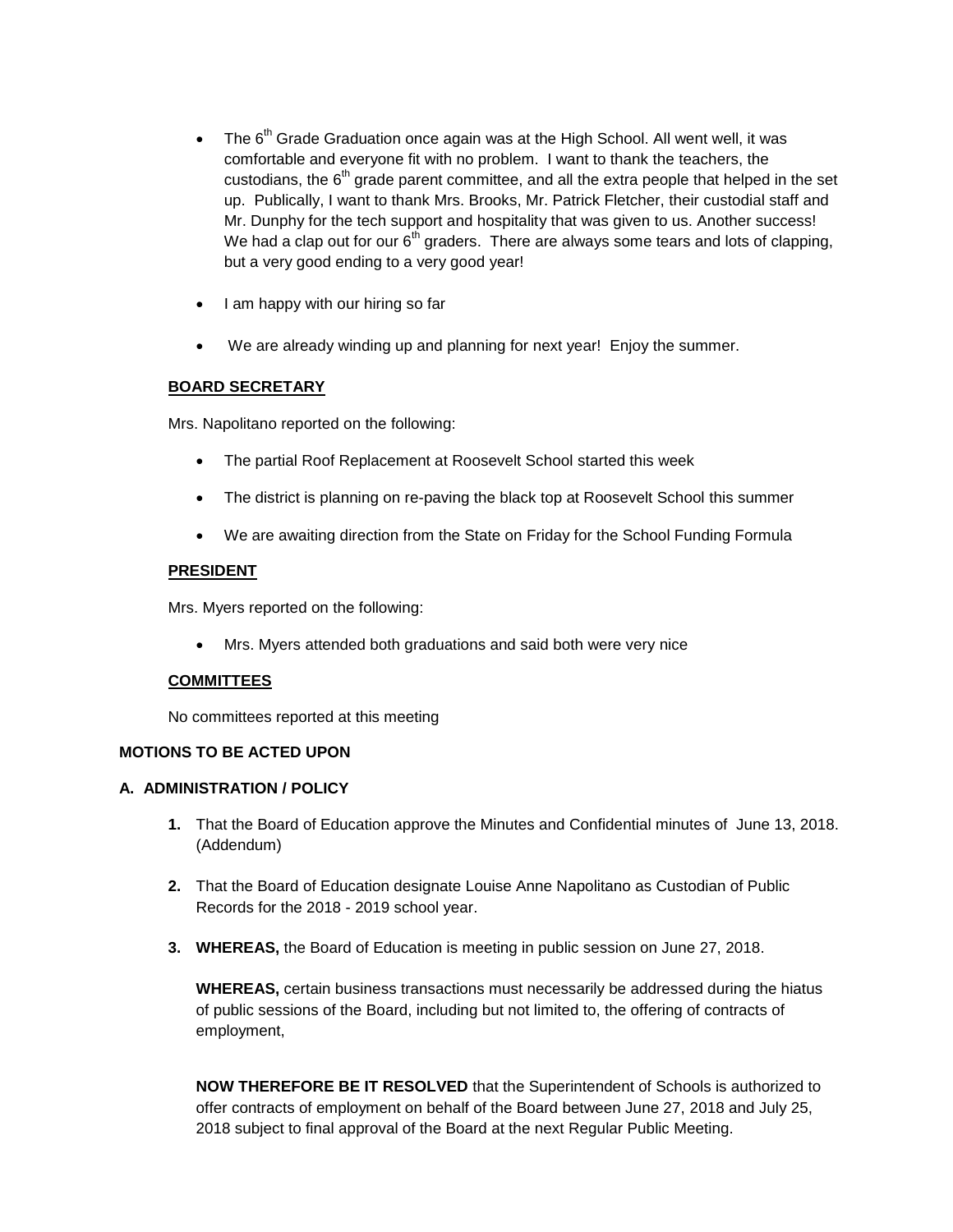- $\bullet$  The 6<sup>th</sup> Grade Graduation once again was at the High School. All went well, it was comfortable and everyone fit with no problem. I want to thank the teachers, the custodians, the  $6<sup>th</sup>$  grade parent committee, and all the extra people that helped in the set up. Publically, I want to thank Mrs. Brooks, Mr. Patrick Fletcher, their custodial staff and Mr. Dunphy for the tech support and hospitality that was given to us. Another success! We had a clap out for our  $6<sup>th</sup>$  graders. There are always some tears and lots of clapping, but a very good ending to a very good year!
- $\bullet$  I am happy with our hiring so far
- We are already winding up and planning for next year! Enjoy the summer.

# **BOARD SECRETARY**

Mrs. Napolitano reported on the following:

- The partial Roof Replacement at Roosevelt School started this week
- The district is planning on re-paving the black top at Roosevelt School this summer
- We are awaiting direction from the State on Friday for the School Funding Formula

### **PRESIDENT**

Mrs. Myers reported on the following:

Mrs. Myers attended both graduations and said both were very nice

# **COMMITTEES**

No committees reported at this meeting

# **MOTIONS TO BE ACTED UPON**

# **A. ADMINISTRATION / POLICY**

- **1.** That the Board of Education approve the Minutes and Confidential minutes of June 13, 2018. (Addendum)
- **2.** That the Board of Education designate Louise Anne Napolitano as Custodian of Public Records for the 2018 - 2019 school year.
- **3. WHEREAS,** the Board of Education is meeting in public session on June 27, 2018.

**WHEREAS,** certain business transactions must necessarily be addressed during the hiatus of public sessions of the Board, including but not limited to, the offering of contracts of employment,

**NOW THEREFORE BE IT RESOLVED** that the Superintendent of Schools is authorized to offer contracts of employment on behalf of the Board between June 27, 2018 and July 25, 2018 subject to final approval of the Board at the next Regular Public Meeting.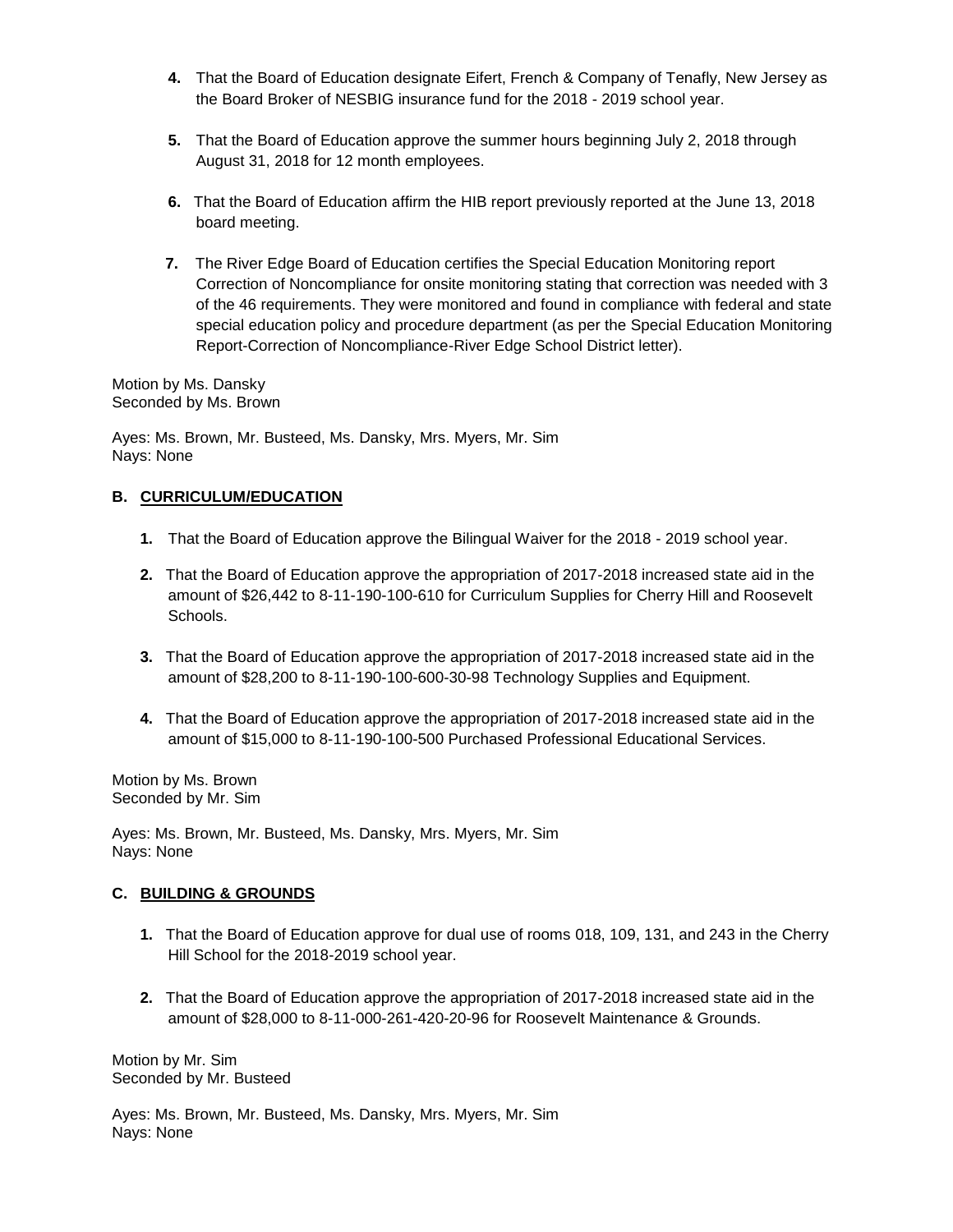- **4.** That the Board of Education designate Eifert, French & Company of Tenafly, New Jersey as the Board Broker of NESBIG insurance fund for the 2018 - 2019 school year.
- **5.** That the Board of Education approve the summer hours beginning July 2, 2018 through August 31, 2018 for 12 month employees.
- **6.** That the Board of Education affirm the HIB report previously reported at the June 13, 2018 board meeting.
- **7.** The River Edge Board of Education certifies the Special Education Monitoring report Correction of Noncompliance for onsite monitoring stating that correction was needed with 3 of the 46 requirements. They were monitored and found in compliance with federal and state special education policy and procedure department (as per the Special Education Monitoring Report-Correction of Noncompliance-River Edge School District letter).

Motion by Ms. Dansky Seconded by Ms. Brown

Ayes: Ms. Brown, Mr. Busteed, Ms. Dansky, Mrs. Myers, Mr. Sim Nays: None

# **B. CURRICULUM/EDUCATION**

- **1.** That the Board of Education approve the Bilingual Waiver for the 2018 2019 school year.
- **2.** That the Board of Education approve the appropriation of 2017-2018 increased state aid in the amount of \$26,442 to 8-11-190-100-610 for Curriculum Supplies for Cherry Hill and Roosevelt Schools.
- **3.** That the Board of Education approve the appropriation of 2017-2018 increased state aid in the amount of \$28,200 to 8-11-190-100-600-30-98 Technology Supplies and Equipment.
- **4.** That the Board of Education approve the appropriation of 2017-2018 increased state aid in the amount of \$15,000 to 8-11-190-100-500 Purchased Professional Educational Services.

Motion by Ms. Brown Seconded by Mr. Sim

Ayes: Ms. Brown, Mr. Busteed, Ms. Dansky, Mrs. Myers, Mr. Sim Nays: None

# **C. BUILDING & GROUNDS**

- **1.** That the Board of Education approve for dual use of rooms 018, 109, 131, and 243 in the Cherry Hill School for the 2018-2019 school year.
- **2.** That the Board of Education approve the appropriation of 2017-2018 increased state aid in the amount of \$28,000 to 8-11-000-261-420-20-96 for Roosevelt Maintenance & Grounds.

Motion by Mr. Sim Seconded by Mr. Busteed

Ayes: Ms. Brown, Mr. Busteed, Ms. Dansky, Mrs. Myers, Mr. Sim Nays: None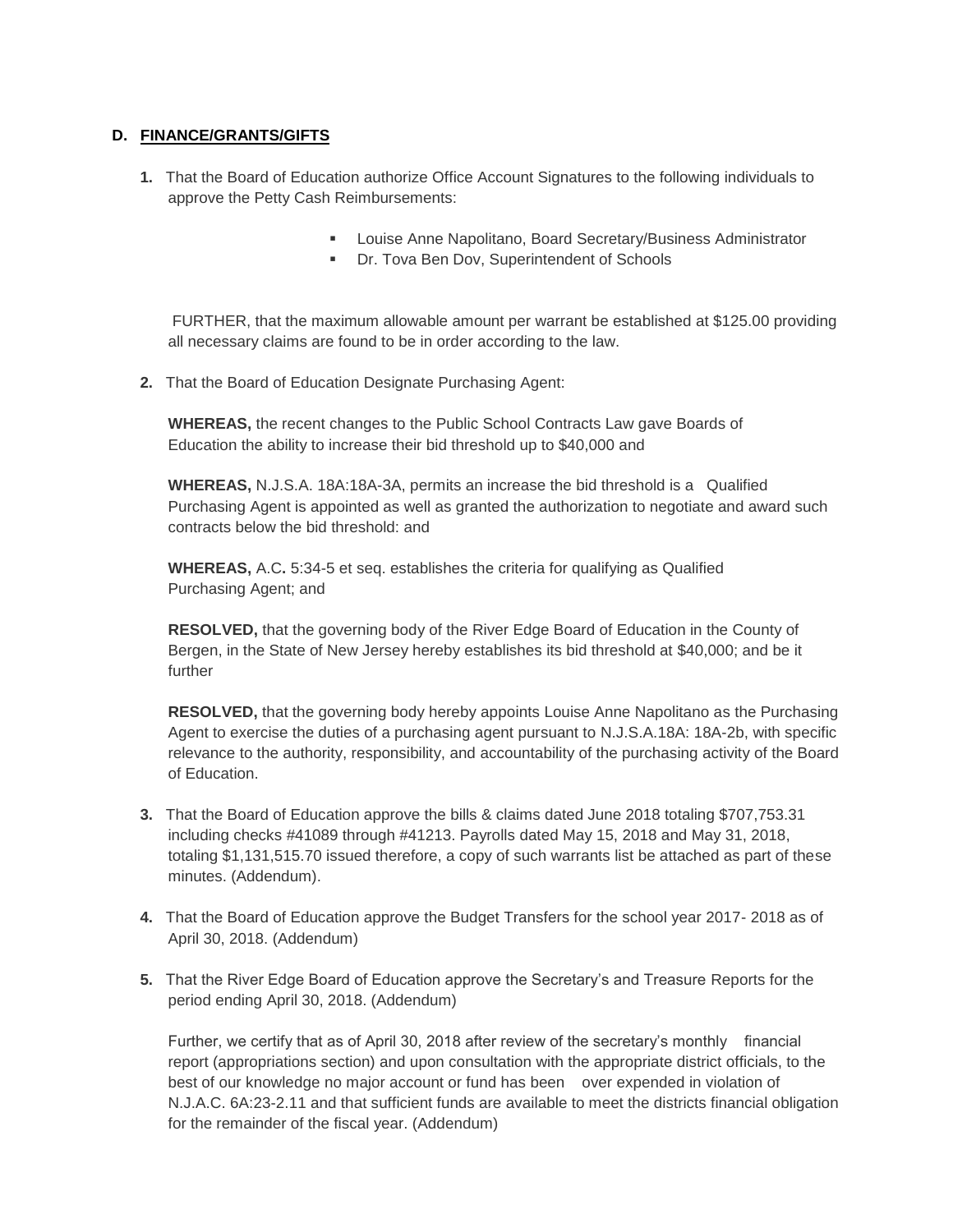# **D. FINANCE/GRANTS/GIFTS**

- **1.** That the Board of Education authorize Office Account Signatures to the following individuals to approve the Petty Cash Reimbursements:
	- **Louise Anne Napolitano, Board Secretary/Business Administrator**
	- **Dr. Tova Ben Dov, Superintendent of Schools**

FURTHER, that the maximum allowable amount per warrant be established at \$125.00 providing all necessary claims are found to be in order according to the law.

**2.** That the Board of Education Designate Purchasing Agent:

**WHEREAS,** the recent changes to the Public School Contracts Law gave Boards of Education the ability to increase their bid threshold up to \$40,000 and

**WHEREAS,** N.J.S.A. 18A:18A-3A, permits an increase the bid threshold is a Qualified Purchasing Agent is appointed as well as granted the authorization to negotiate and award such contracts below the bid threshold: and

**WHEREAS,** A.C**.** 5:34-5 et seq. establishes the criteria for qualifying as Qualified Purchasing Agent; and

 **RESOLVED,** that the governing body of the River Edge Board of Education in the County of Bergen, in the State of New Jersey hereby establishes its bid threshold at \$40,000; and be it further

**RESOLVED,** that the governing body hereby appoints Louise Anne Napolitano as the Purchasing Agent to exercise the duties of a purchasing agent pursuant to N.J.S.A.18A: 18A-2b, with specific relevance to the authority, responsibility, and accountability of the purchasing activity of the Board of Education.

- **3.** That the Board of Education approve the bills & claims dated June 2018 totaling \$707,753.31 including checks #41089 through #41213. Payrolls dated May 15, 2018 and May 31, 2018, totaling \$1,131,515.70 issued therefore, a copy of such warrants list be attached as part of these minutes. (Addendum).
- **4.** That the Board of Education approve the Budget Transfers for the school year 2017- 2018 as of April 30, 2018. (Addendum)
- **5.** That the River Edge Board of Education approve the Secretary's and Treasure Reports for the period ending April 30, 2018. (Addendum)

Further, we certify that as of April 30, 2018 after review of the secretary's monthly financial report (appropriations section) and upon consultation with the appropriate district officials, to the best of our knowledge no major account or fund has been over expended in violation of N.J.A.C. 6A:23-2.11 and that sufficient funds are available to meet the districts financial obligation for the remainder of the fiscal year. (Addendum)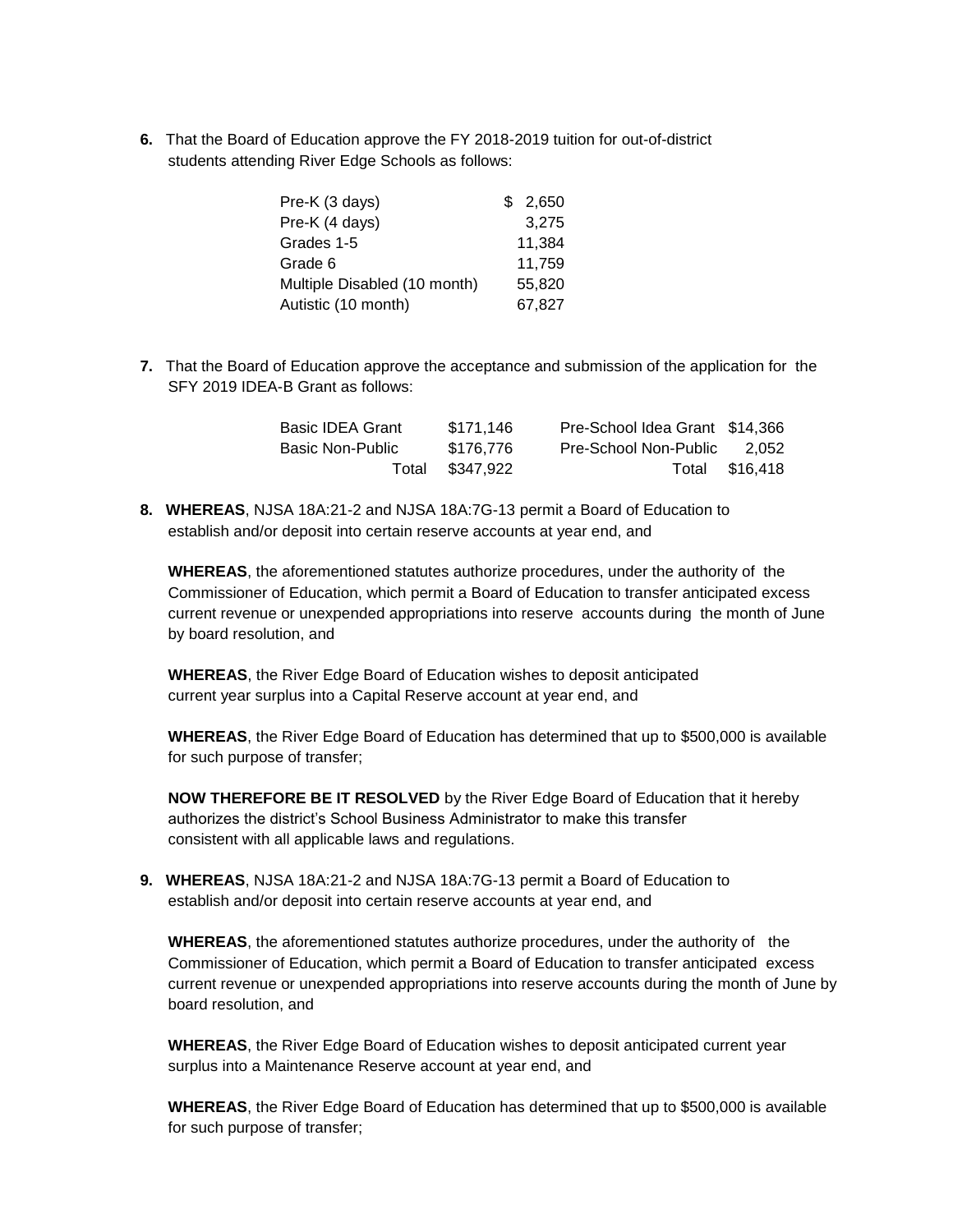**6.** That the Board of Education approve the FY 2018-2019 tuition for out-of-district students attending River Edge Schools as follows:

| Pre-K (3 days)               | \$2,650 |
|------------------------------|---------|
| Pre-K (4 days)               | 3,275   |
| Grades 1-5                   | 11,384  |
| Grade 6                      | 11.759  |
| Multiple Disabled (10 month) | 55,820  |
| Autistic (10 month)          | 67.827  |

**7.** That the Board of Education approve the acceptance and submission of the application for the SFY 2019 IDEA-B Grant as follows:

| <b>Basic IDEA Grant</b> | \$171.146       | Pre-School Idea Grant \$14,366 |                |
|-------------------------|-----------------|--------------------------------|----------------|
| Basic Non-Public        | \$176.776       | Pre-School Non-Public          | 2.052          |
|                         | Total \$347,922 |                                | Total \$16,418 |

**8. WHEREAS**, NJSA 18A:21-2 and NJSA 18A:7G-13 permit a Board of Education to establish and/or deposit into certain reserve accounts at year end, and

**WHEREAS**, the aforementioned statutes authorize procedures, under the authority of the Commissioner of Education, which permit a Board of Education to transfer anticipated excess current revenue or unexpended appropriations into reserve accounts during the month of June by board resolution, and

 **WHEREAS**, the River Edge Board of Education wishes to deposit anticipated current year surplus into a Capital Reserve account at year end, and

**WHEREAS**, the River Edge Board of Education has determined that up to \$500,000 is available for such purpose of transfer;

**NOW THEREFORE BE IT RESOLVED** by the River Edge Board of Education that it hereby authorizes the district's School Business Administrator to make this transfer consistent with all applicable laws and regulations.

**9. WHEREAS**, NJSA 18A:21-2 and NJSA 18A:7G-13 permit a Board of Education to establish and/or deposit into certain reserve accounts at year end, and

**WHEREAS**, the aforementioned statutes authorize procedures, under the authority of the Commissioner of Education, which permit a Board of Education to transfer anticipated excess current revenue or unexpended appropriations into reserve accounts during the month of June by board resolution, and

**WHEREAS**, the River Edge Board of Education wishes to deposit anticipated current year surplus into a Maintenance Reserve account at year end, and

**WHEREAS**, the River Edge Board of Education has determined that up to \$500,000 is available for such purpose of transfer;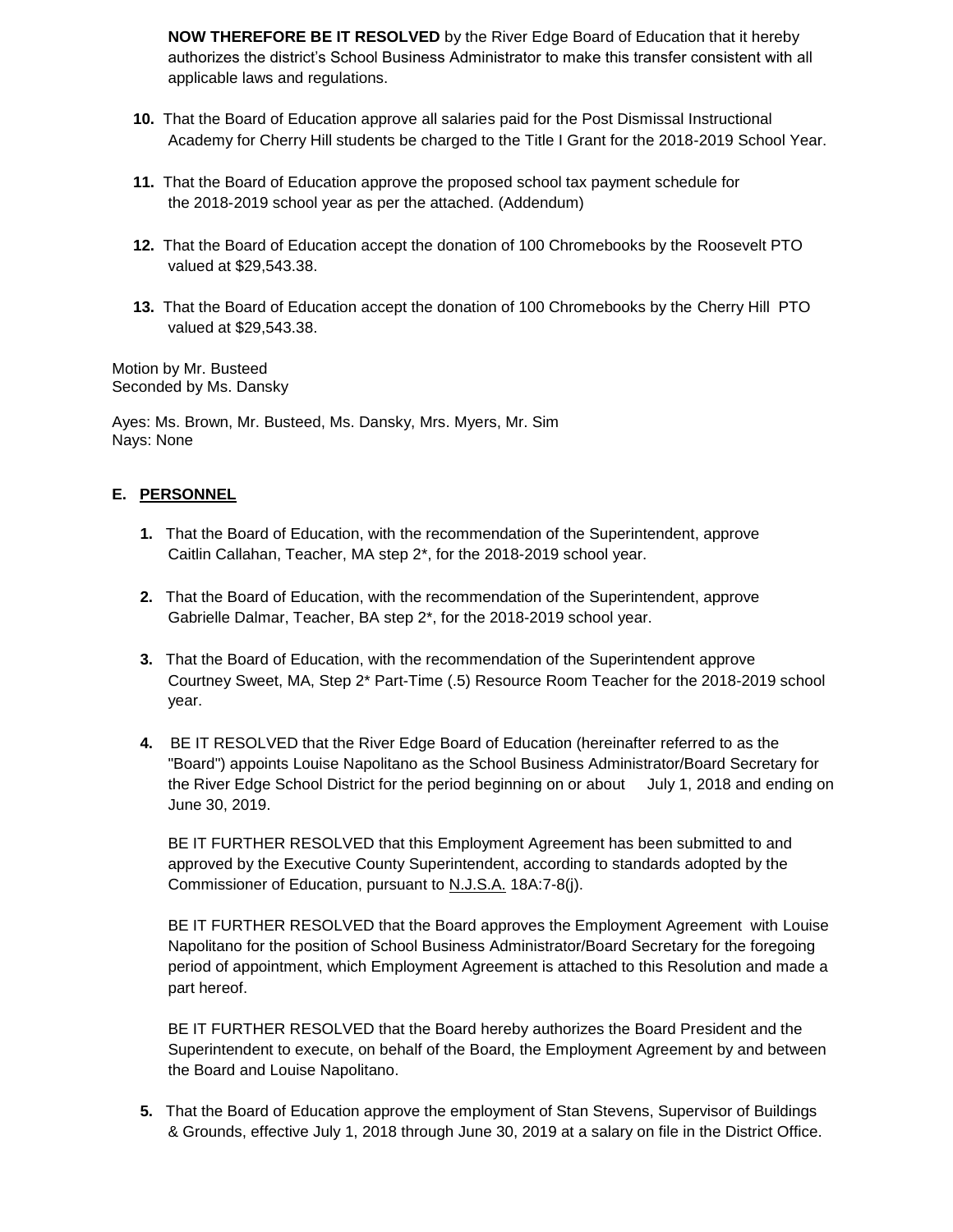**NOW THEREFORE BE IT RESOLVED** by the River Edge Board of Education that it hereby authorizes the district's School Business Administrator to make this transfer consistent with all applicable laws and regulations.

- **10.** That the Board of Education approve all salaries paid for the Post Dismissal Instructional Academy for Cherry Hill students be charged to the Title I Grant for the 2018-2019 School Year.
- **11.** That the Board of Education approve the proposed school tax payment schedule for the 2018-2019 school year as per the attached. (Addendum)
- **12.** That the Board of Education accept the donation of 100 Chromebooks by the Roosevelt PTO valued at \$29,543.38.
- **13.** That the Board of Education accept the donation of 100 Chromebooks by the Cherry Hill PTO valued at \$29,543.38.

Motion by Mr. Busteed Seconded by Ms. Dansky

Ayes: Ms. Brown, Mr. Busteed, Ms. Dansky, Mrs. Myers, Mr. Sim Nays: None

### **E. PERSONNEL**

- **1.** That the Board of Education, with the recommendation of the Superintendent, approve Caitlin Callahan, Teacher, MA step 2\*, for the 2018-2019 school year.
- **2.** That the Board of Education, with the recommendation of the Superintendent, approve Gabrielle Dalmar, Teacher, BA step 2\*, for the 2018-2019 school year.
- **3.** That the Board of Education, with the recommendation of the Superintendent approve Courtney Sweet, MA, Step 2\* Part-Time (.5) Resource Room Teacher for the 2018-2019 school year.
- **4.** BE IT RESOLVED that the River Edge Board of Education (hereinafter referred to as the "Board") appoints Louise Napolitano as the School Business Administrator/Board Secretary for the River Edge School District for the period beginning on or about July 1, 2018 and ending on June 30, 2019.

BE IT FURTHER RESOLVED that this Employment Agreement has been submitted to and approved by the Executive County Superintendent, according to standards adopted by the Commissioner of Education, pursuant to N.J.S.A. 18A:7-8(j).

BE IT FURTHER RESOLVED that the Board approves the Employment Agreement with Louise Napolitano for the position of School Business Administrator/Board Secretary for the foregoing period of appointment, which Employment Agreement is attached to this Resolution and made a part hereof.

BE IT FURTHER RESOLVED that the Board hereby authorizes the Board President and the Superintendent to execute, on behalf of the Board, the Employment Agreement by and between the Board and Louise Napolitano.

**5.** That the Board of Education approve the employment of Stan Stevens, Supervisor of Buildings & Grounds, effective July 1, 2018 through June 30, 2019 at a salary on file in the District Office.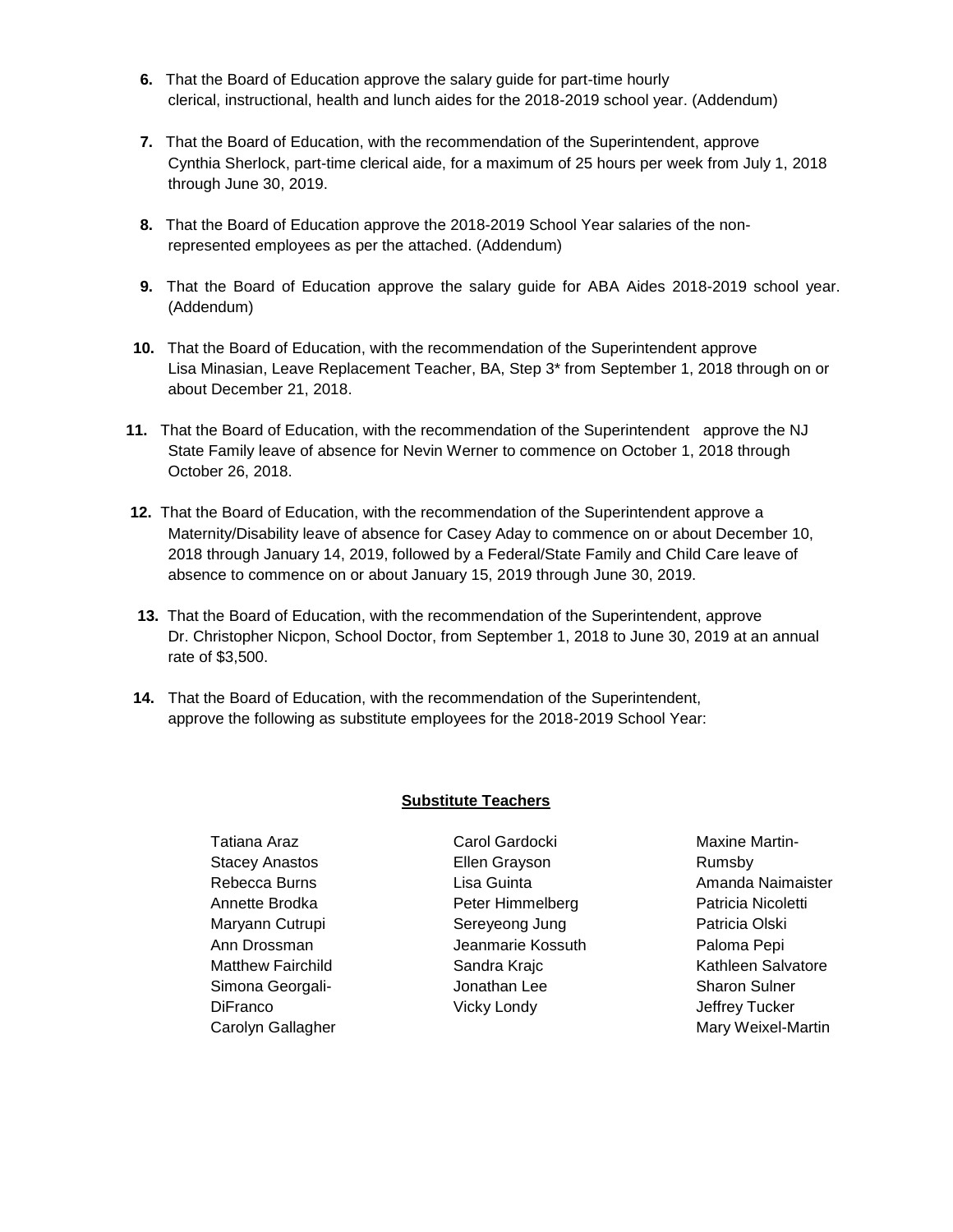- **6.** That the Board of Education approve the salary guide for part-time hourly clerical, instructional, health and lunch aides for the 2018-2019 school year. (Addendum)
- **7.** That the Board of Education, with the recommendation of the Superintendent, approve Cynthia Sherlock, part-time clerical aide, for a maximum of 25 hours per week from July 1, 2018 through June 30, 2019.
- **8.** That the Board of Education approve the 2018-2019 School Year salaries of the nonrepresented employees as per the attached. (Addendum)
- **9.** That the Board of Education approve the salary guide for ABA Aides 2018-2019 school year. (Addendum)
- **10.** That the Board of Education, with the recommendation of the Superintendent approve Lisa Minasian, Leave Replacement Teacher, BA, Step 3\* from September 1, 2018 through on or about December 21, 2018.
- **11.** That the Board of Education, with the recommendation of the Superintendent approve the NJ State Family leave of absence for Nevin Werner to commence on October 1, 2018 through October 26, 2018.
- **12.** That the Board of Education, with the recommendation of the Superintendent approve a Maternity/Disability leave of absence for Casey Aday to commence on or about December 10, 2018 through January 14, 2019, followed by a Federal/State Family and Child Care leave of absence to commence on or about January 15, 2019 through June 30, 2019.
- **13.** That the Board of Education, with the recommendation of the Superintendent, approve Dr. Christopher Nicpon, School Doctor, from September 1, 2018 to June 30, 2019 at an annual rate of \$3,500.
- **14.** That the Board of Education, with the recommendation of the Superintendent, approve the following as substitute employees for the 2018-2019 School Year:

#### **Substitute Teachers**

Tatiana Araz Stacey Anastos Rebecca Burns Annette Brodka Maryann Cutrupi Ann Drossman Matthew Fairchild Simona Georgali-**DiFranco** Carolyn Gallagher Carol Gardocki Ellen Grayson Lisa Guinta Peter Himmelberg Sereyeong Jung Jeanmarie Kossuth Sandra Krajc Jonathan Lee Vicky Londy

Maxine Martin-Rumsby Amanda Naimaister Patricia Nicoletti Patricia Olski Paloma Pepi Kathleen Salvatore Sharon Sulner Jeffrey Tucker Mary Weixel-Martin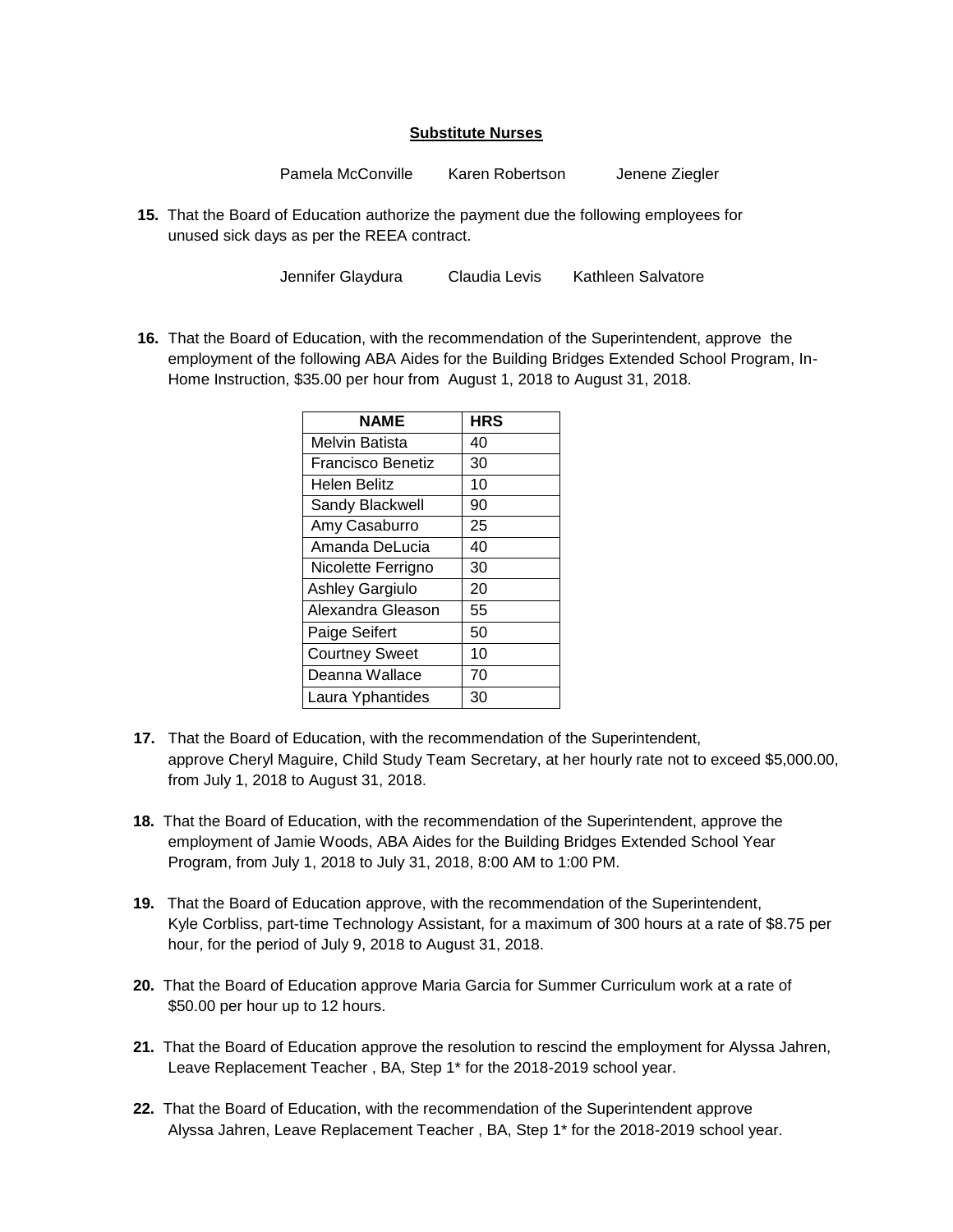# **Substitute Nurses**

Pamela McConville Karen Robertson Jenene Ziegler

**15.** That the Board of Education authorize the payment due the following employees for unused sick days as per the REEA contract.

Jennifer Glaydura Claudia Levis Kathleen Salvatore

**16.** That the Board of Education, with the recommendation of the Superintendent, approve the employment of the following ABA Aides for the Building Bridges Extended School Program, In-Home Instruction, \$35.00 per hour from August 1, 2018 to August 31, 2018.

| <b>NAME</b>           | <b>HRS</b> |
|-----------------------|------------|
| Melvin Batista        | 40         |
| Francisco Benetiz     | 30         |
| Helen Belitz          | 10         |
| Sandy Blackwell       | 90         |
| Amy Casaburro         | 25         |
| Amanda DeLucia        | 40         |
| Nicolette Ferrigno    | 30         |
| Ashley Gargiulo       | 20         |
| Alexandra Gleason     | 55         |
| Paige Seifert         | 50         |
| <b>Courtney Sweet</b> | 10         |
| Deanna Wallace        | 70         |
| Laura Yphantides      | 30         |

- **17.** That the Board of Education, with the recommendation of the Superintendent, approve Cheryl Maguire, Child Study Team Secretary, at her hourly rate not to exceed \$5,000.00, from July 1, 2018 to August 31, 2018.
- **18.** That the Board of Education, with the recommendation of the Superintendent, approve the employment of Jamie Woods, ABA Aides for the Building Bridges Extended School Year Program, from July 1, 2018 to July 31, 2018, 8:00 AM to 1:00 PM.
- **19.** That the Board of Education approve, with the recommendation of the Superintendent, Kyle Corbliss, part-time Technology Assistant, for a maximum of 300 hours at a rate of \$8.75 per hour, for the period of July 9, 2018 to August 31, 2018.
- **20.** That the Board of Education approve Maria Garcia for Summer Curriculum work at a rate of \$50.00 per hour up to 12 hours.
- **21.** That the Board of Education approve the resolution to rescind the employment for Alyssa Jahren, Leave Replacement Teacher , BA, Step 1\* for the 2018-2019 school year.
- **22.** That the Board of Education, with the recommendation of the Superintendent approve Alyssa Jahren, Leave Replacement Teacher , BA, Step 1\* for the 2018-2019 school year.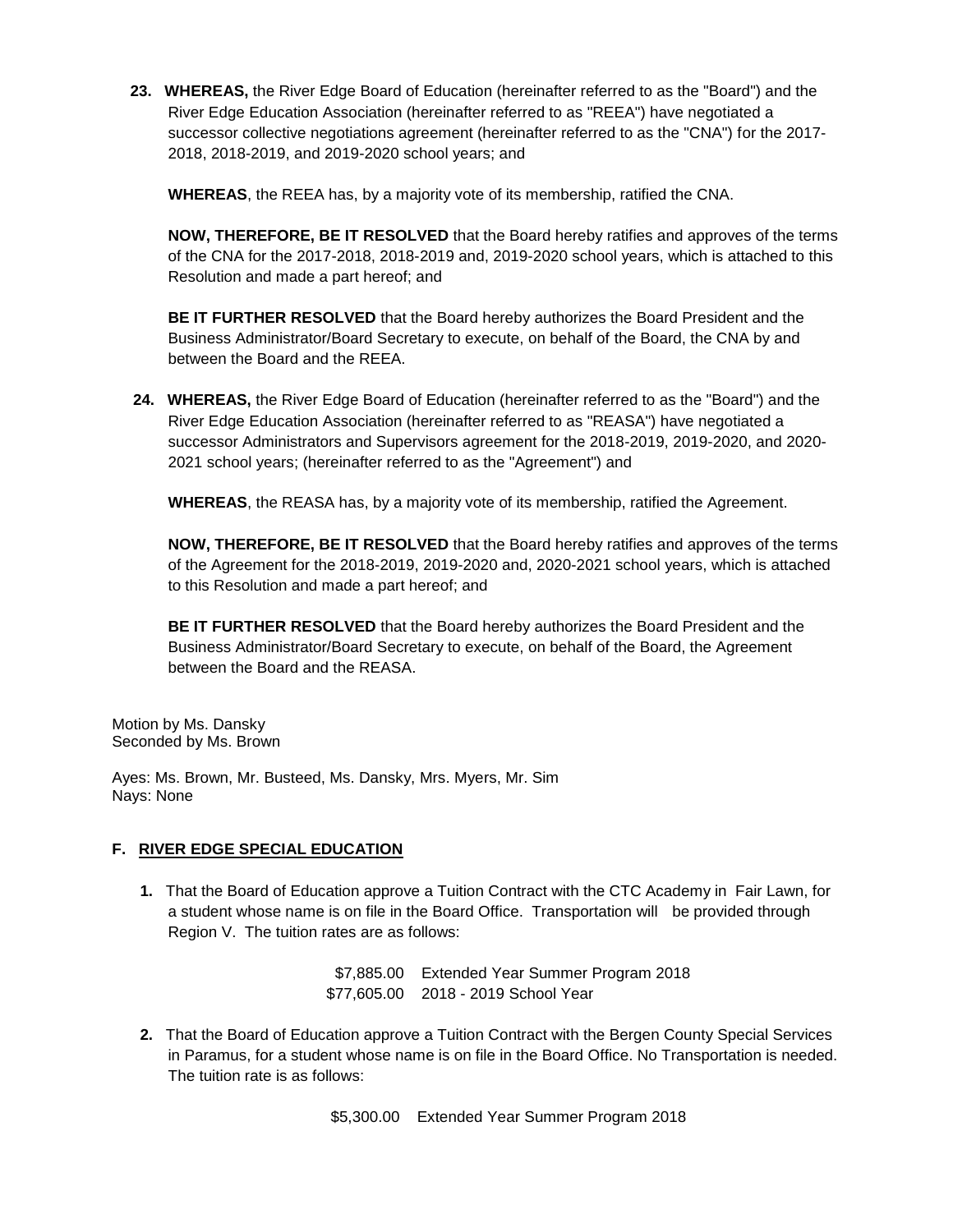**23. WHEREAS,** the River Edge Board of Education (hereinafter referred to as the "Board") and the River Edge Education Association (hereinafter referred to as "REEA") have negotiated a successor collective negotiations agreement (hereinafter referred to as the "CNA") for the 2017- 2018, 2018-2019, and 2019-2020 school years; and

**WHEREAS**, the REEA has, by a majority vote of its membership, ratified the CNA.

**NOW, THEREFORE, BE IT RESOLVED** that the Board hereby ratifies and approves of the terms of the CNA for the 2017-2018, 2018-2019 and, 2019-2020 school years, which is attached to this Resolution and made a part hereof; and

**BE IT FURTHER RESOLVED** that the Board hereby authorizes the Board President and the Business Administrator/Board Secretary to execute, on behalf of the Board, the CNA by and between the Board and the REEA.

**24. WHEREAS,** the River Edge Board of Education (hereinafter referred to as the "Board") and the River Edge Education Association (hereinafter referred to as "REASA") have negotiated a successor Administrators and Supervisors agreement for the 2018-2019, 2019-2020, and 2020- 2021 school years; (hereinafter referred to as the "Agreement") and

**WHEREAS**, the REASA has, by a majority vote of its membership, ratified the Agreement.

**NOW, THEREFORE, BE IT RESOLVED** that the Board hereby ratifies and approves of the terms of the Agreement for the 2018-2019, 2019-2020 and, 2020-2021 school years, which is attached to this Resolution and made a part hereof; and

**BE IT FURTHER RESOLVED** that the Board hereby authorizes the Board President and the Business Administrator/Board Secretary to execute, on behalf of the Board, the Agreement between the Board and the REASA.

Motion by Ms. Dansky Seconded by Ms. Brown

Ayes: Ms. Brown, Mr. Busteed, Ms. Dansky, Mrs. Myers, Mr. Sim Nays: None

# **F. RIVER EDGE SPECIAL EDUCATION**

**1.** That the Board of Education approve a Tuition Contract with the CTC Academy in Fair Lawn, for a student whose name is on file in the Board Office. Transportation will be provided through Region V. The tuition rates are as follows:

> \$7,885.00 Extended Year Summer Program 2018 \$77,605.00 2018 - 2019 School Year

**2.** That the Board of Education approve a Tuition Contract with the Bergen County Special Services in Paramus, for a student whose name is on file in the Board Office. No Transportation is needed. The tuition rate is as follows:

\$5,300.00 Extended Year Summer Program 2018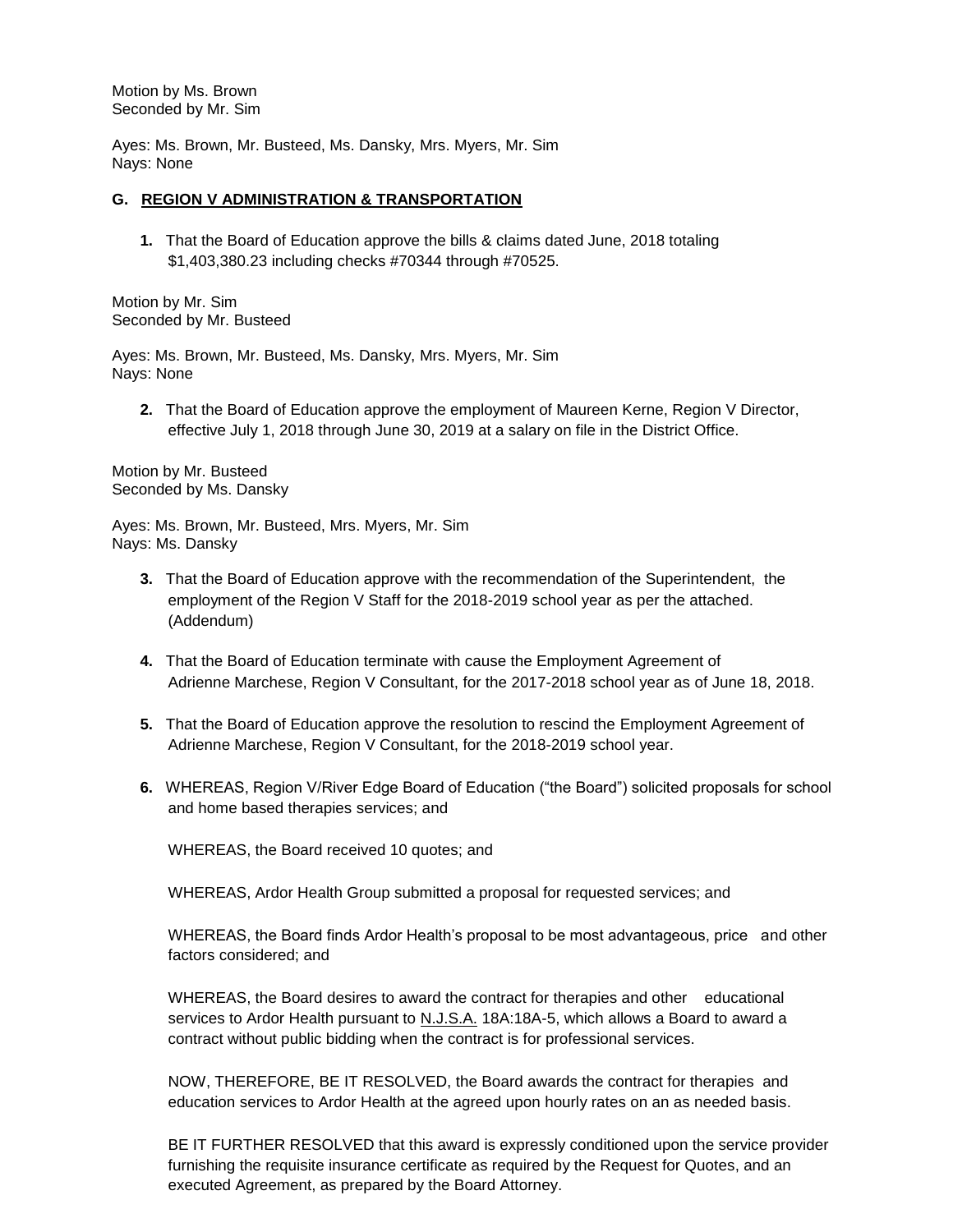Motion by Ms. Brown Seconded by Mr. Sim

Ayes: Ms. Brown, Mr. Busteed, Ms. Dansky, Mrs. Myers, Mr. Sim Nays: None

#### **G. REGION V ADMINISTRATION & TRANSPORTATION**

**1.** That the Board of Education approve the bills & claims dated June, 2018 totaling \$1,403,380.23 including checks #70344 through #70525.

Motion by Mr. Sim Seconded by Mr. Busteed

Ayes: Ms. Brown, Mr. Busteed, Ms. Dansky, Mrs. Myers, Mr. Sim Nays: None

**2.** That the Board of Education approve the employment of Maureen Kerne, Region V Director, effective July 1, 2018 through June 30, 2019 at a salary on file in the District Office.

Motion by Mr. Busteed Seconded by Ms. Dansky

Ayes: Ms. Brown, Mr. Busteed, Mrs. Myers, Mr. Sim Nays: Ms. Dansky

- **3.** That the Board of Education approve with the recommendation of the Superintendent, the employment of the Region V Staff for the 2018-2019 school year as per the attached. (Addendum)
- **4.** That the Board of Education terminate with cause the Employment Agreement of Adrienne Marchese, Region V Consultant, for the 2017-2018 school year as of June 18, 2018.
- **5.** That the Board of Education approve the resolution to rescind the Employment Agreement of Adrienne Marchese, Region V Consultant, for the 2018-2019 school year.
- **6.** WHEREAS, Region V/River Edge Board of Education ("the Board") solicited proposals for school and home based therapies services; and

WHEREAS, the Board received 10 quotes; and

WHEREAS, Ardor Health Group submitted a proposal for requested services; and

WHEREAS, the Board finds Ardor Health's proposal to be most advantageous, price and other factors considered; and

WHEREAS, the Board desires to award the contract for therapies and other educational services to Ardor Health pursuant to N.J.S.A. 18A:18A-5, which allows a Board to award a contract without public bidding when the contract is for professional services.

NOW, THEREFORE, BE IT RESOLVED, the Board awards the contract for therapies and education services to Ardor Health at the agreed upon hourly rates on an as needed basis.

BE IT FURTHER RESOLVED that this award is expressly conditioned upon the service provider furnishing the requisite insurance certificate as required by the Request for Quotes, and an executed Agreement, as prepared by the Board Attorney.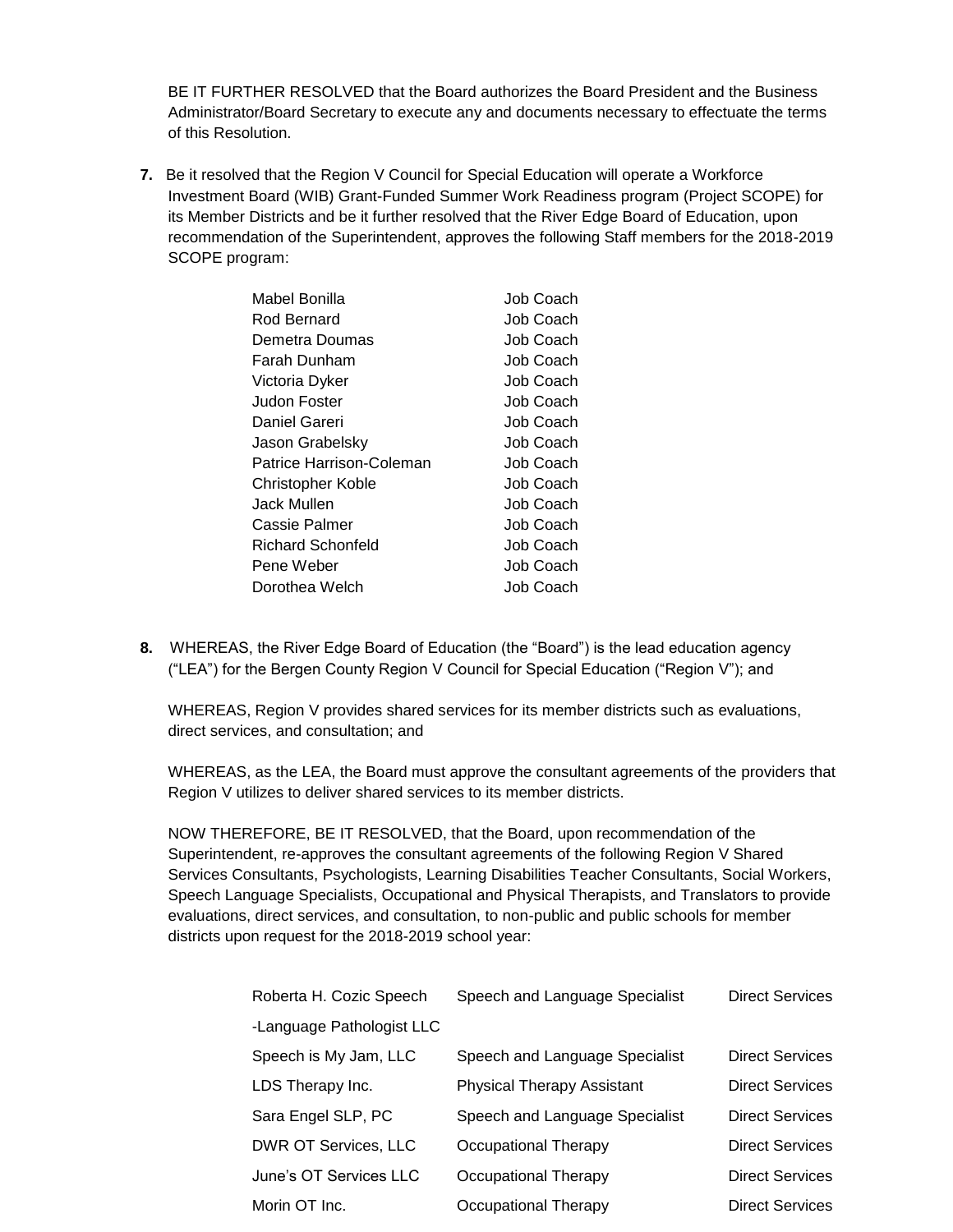BE IT FURTHER RESOLVED that the Board authorizes the Board President and the Business Administrator/Board Secretary to execute any and documents necessary to effectuate the terms of this Resolution.

**7.** Be it resolved that the Region V Council for Special Education will operate a Workforce Investment Board (WIB) Grant-Funded Summer Work Readiness program (Project SCOPE) for its Member Districts and be it further resolved that the River Edge Board of Education, upon recommendation of the Superintendent, approves the following Staff members for the 2018-2019 SCOPE program:

| Mabel Bonilla            | Job Coach |
|--------------------------|-----------|
| Rod Bernard              | Job Coach |
| Demetra Doumas           | Job Coach |
| Farah Dunham             | Job Coach |
| Victoria Dyker           | Job Coach |
| Judon Foster             | Job Coach |
| Daniel Gareri            | Job Coach |
| Jason Grabelsky          | Job Coach |
| Patrice Harrison-Coleman | Job Coach |
| Christopher Koble        | Job Coach |
| Jack Mullen              | Job Coach |
| Cassie Palmer            | Job Coach |
| Richard Schonfeld        | Job Coach |
| Pene Weber               | Job Coach |
| Dorothea Welch           | Job Coach |
|                          |           |

**8.** WHEREAS, the River Edge Board of Education (the "Board") is the lead education agency ("LEA") for the Bergen County Region V Council for Special Education ("Region V"); and

WHEREAS, Region V provides shared services for its member districts such as evaluations, direct services, and consultation; and

WHEREAS, as the LEA, the Board must approve the consultant agreements of the providers that Region V utilizes to deliver shared services to its member districts.

NOW THEREFORE, BE IT RESOLVED, that the Board, upon recommendation of the Superintendent, re-approves the consultant agreements of the following Region V Shared Services Consultants, Psychologists, Learning Disabilities Teacher Consultants, Social Workers, Speech Language Specialists, Occupational and Physical Therapists, and Translators to provide evaluations, direct services, and consultation, to non-public and public schools for member districts upon request for the 2018-2019 school year:

| Roberta H. Cozic Speech   | Speech and Language Specialist    | <b>Direct Services</b> |
|---------------------------|-----------------------------------|------------------------|
| -Language Pathologist LLC |                                   |                        |
| Speech is My Jam, LLC     | Speech and Language Specialist    | <b>Direct Services</b> |
| LDS Therapy Inc.          | <b>Physical Therapy Assistant</b> | <b>Direct Services</b> |
| Sara Engel SLP, PC        | Speech and Language Specialist    | <b>Direct Services</b> |
| DWR OT Services, LLC      | Occupational Therapy              | <b>Direct Services</b> |
| June's OT Services LLC    | Occupational Therapy              | <b>Direct Services</b> |
| Morin OT Inc.             | Occupational Therapy              | <b>Direct Services</b> |